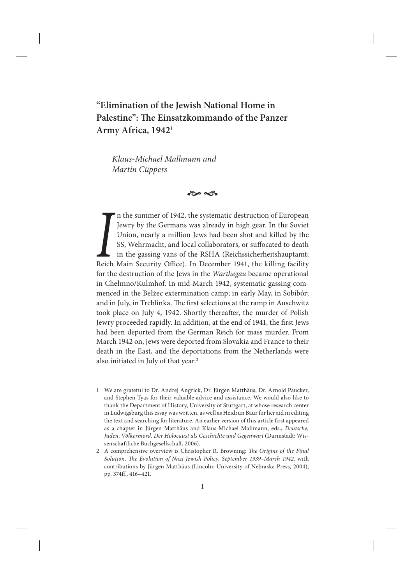# **"Elimination of the Jewish National Home in Palestine": The Einsatzkommando of the Panzer Army Africa, 1942**<sup>1</sup>

*Klaus-Michael Mallmann and Martin Cüppers*

 $\approx$ 

**IVENTURE IS THE IRE IS THE UNION THE UNION THE UNION MAIN SECURITY OF IRELA SECURITY OF IRELA (Reichssicherheitshauptamt; Reich Main Security Office). In December 1941, the killing facility** n the summer of 1942, the systematic destruction of European Jewry by the Germans was already in high gear. In the Soviet Union, nearly a million Jews had been shot and killed by the SS, Wehrmacht, and local collaborators, or suffocated to death in the gassing vans of the RSHA (Reichssicherheitshauptamt; for the destruction of the Jews in the *Warthegau* became operational in Chełmno/Kulmhof. In mid-March 1942, systematic gassing commenced in the Bełżec extermination camp; in early May, in Sobibór; and in July, in Treblinka. The first selections at the ramp in Auschwitz took place on July 4, 1942. Shortly thereafter, the murder of Polish Jewry proceeded rapidly. In addition, at the end of 1941, the first Jews had been deported from the German Reich for mass murder. From March 1942 on, Jews were deported from Slovakia and France to their death in the East, and the deportations from the Netherlands were also initiated in July of that year.<sup>2</sup>

- 1 We are grateful to Dr. Andrej Angrick, Dr. Jürgen Matthäus, Dr. Arnold Paucker, and Stephen Tyas for their valuable advice and assistance. We would also like to thank the Department of History, University of Stuttgart, at whose research center in Ludwigsburg this essay was written, as well as Heidrun Baur for her aid in editing the text and searching for literature. An earlier version of this article first appeared as a chapter in Jürgen Matthäus and Klaus-Michael Mallmann, eds., *Deutsche,*  Juden, Völkermord. Der Holocaust als Geschichte und Gegenwart (Darmstadt: Wissenschaftliche Buchgesellschaft, 2006).
- 2 A comprehensive overview is Christopher R. Browning: *The Origins of the Final Solution. The Evolution of Nazi Jewish Policy, September 1939–March 1942*, with contributions by Jürgen Matthäus (Lincoln: University of Nebraska Press, 2004), pp. 374ff., 416–421.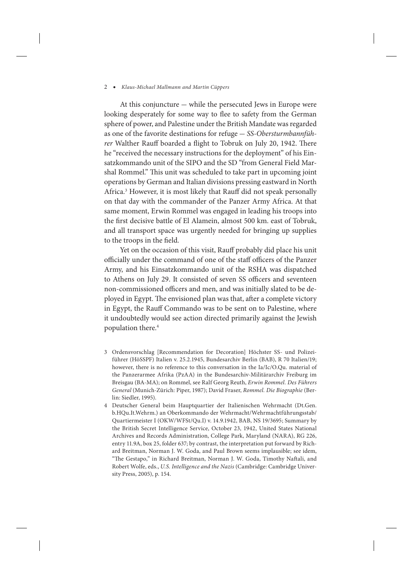At this conjuncture — while the persecuted Jews in Europe were looking desperately for some way to flee to safety from the German sphere of power, and Palestine under the British Mandate was regarded as one of the favorite destinations for refuge — *SS-Obersturmbannführer* Walther Rauff boarded a flight to Tobruk on July 20, 1942. There he "received the necessary instructions for the deployment" of his Einsatzkommando unit of the SIPO and the SD "from General Field Marshal Rommel." This unit was scheduled to take part in upcoming joint operations by German and Italian divisions pressing eastward in North Africa.<sup>3</sup> However, it is most likely that Rauff did not speak personally on that day with the commander of the Panzer Army Africa. At that same moment, Erwin Rommel was engaged in leading his troops into the first decisive battle of El Alamein, almost 500 km. east of Tobruk, and all transport space was urgently needed for bringing up supplies to the troops in the field.

Yet on the occasion of this visit, Rauff probably did place his unit officially under the command of one of the staff officers of the Panzer Army, and his Einsatzkommando unit of the RSHA was dispatched to Athens on July 29. It consisted of seven SS officers and seventeen non-commissioned officers and men, and was initially slated to be deployed in Egypt. The envisioned plan was that, after a complete victory in Egypt, the Rauff Commando was to be sent on to Palestine, where it undoubtedly would see action directed primarily against the Jewish population there.4

- 3 Ordensvorschlag [Recommendation for Decoration] Höchster SS- und Polizeiführer (HöSSPF) Italien v. 25.2.1945, Bundesarchiv Berlin (BAB), R 70 Italien/19; however, there is no reference to this conversation in the Ia/Ic/O.Qu. material of the Panzerarmee Afrika (PzAA) in the Bundesarchiv-Militärarchiv Freiburg im Breisgau (BA-MA); on Rommel, see Ralf Georg Reuth, *Erwin Rommel. Des Führers General* (Munich-Zürich: Piper, 1987); David Fraser, *Rommel. Die Biographie* (Berlin: Siedler, 1995).
- 4 Deutscher General beim Hauptquartier der Italienischen Wehrmacht (Dt.Gen. b.HQu.It.Wehrm.) an Oberkommando der Wehrmacht/Wehrmachtführungsstab/ Quartiermeister I (OKW/WFSt/Qu.I) v. 14.9.1942, BAB, NS 19/3695; Summary by the British Secret Intelligence Service, October 23, 1942, United States National Archives and Records Administration, College Park, Maryland (NARA), RG 226, entry 11.9A, box 25, folder 637; by contrast, the interpretation put forward by Richard Breitman, Norman J. W. Goda, and Paul Brown seems implausible; see idem, "The Gestapo," in Richard Breitman, Norman J. W. Goda, Timothy Naftali, and Robert Wolfe, eds., *U.S. Intelligence and the Nazis* (Cambridge: Cambridge University Press, 2005), p. 154.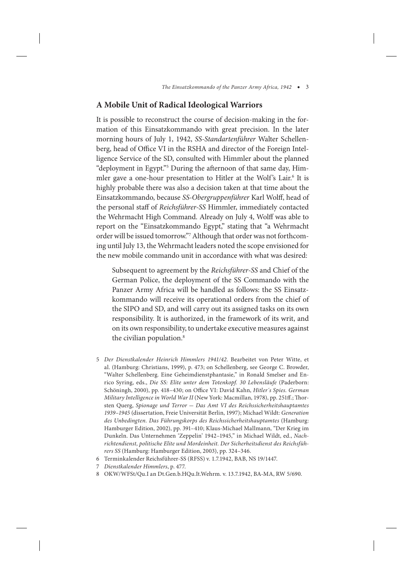## **A Mobile Unit of Radical Ideological Warriors**

It is possible to reconstruct the course of decision-making in the formation of this Einsatzkommando with great precision. In the later morning hours of July 1, 1942, *SS-Standartenführer* Walter Schellenberg, head of Office VI in the RSHA and director of the Foreign Intelligence Service of the SD, consulted with Himmler about the planned "deployment in Egypt."5 During the afternoon of that same day, Himmler gave a one-hour presentation to Hitler at the Wolf's Lair.<sup>6</sup> It is highly probable there was also a decision taken at that time about the Einsatzkommando, because *SS-Obergruppenführer* Karl Wolff, head of the personal staff of *Reichsführer-SS* Himmler, immediately contacted the Wehrmacht High Command. Already on July 4, Wolff was able to report on the "Einsatzkommando Egypt," stating that "a Wehrmacht order will be issued tomorrow."7 Although that order was not forthcoming until July 13, the Wehrmacht leaders noted the scope envisioned for the new mobile commando unit in accordance with what was desired:

Subsequent to agreement by the *Reichsführer-SS* and Chief of the German Police, the deployment of the SS Commando with the Panzer Army Africa will be handled as follows: the SS Einsatzkommando will receive its operational orders from the chief of the SIPO and SD, and will carry out its assigned tasks on its own responsibility. It is authorized, in the framework of its writ, and on its own responsibility, to undertake executive measures against the civilian population.<sup>8</sup>

- 5 *Der Dienstkalender Heinrich Himmlers 1941/42*. Bearbeitet von Peter Witte, et al. (Hamburg: Christians, 1999), p. 473; on Schellenberg, see George C. Browder, "Walter Schellenberg. Eine Geheimdienstphantasie," in Ronald Smelser and Enrico Syring, eds., *Die SS: Elite unter dem Totenkopf. 30 Lebensläufe* (Paderborn: Schöningh, 2000), pp. 418–430; on Office VI: David Kahn, *Hitler´s Spies. German Military Intelligence in World War II* (New York: Macmillan, 1978), pp. 251ff.; Thorsten Querg, *Spionage und Terror* — *Das Amt VI des Reichssicherheitshauptamtes 1939–1945* (dissertation, Freie Universität Berlin, 1997); Michael Wildt: *Generation des Unbedingten. Das Führungskorps des Reichssicherheitshauptamtes* (Hamburg: Hamburger Edition, 2002), pp. 391–410; Klaus-Michael Mallmann, "Der Krieg im Dunkeln. Das Unternehmen 'Zeppelin' 1942–1945," in Michael Wildt, ed., *Nachrichtendienst, politische Elite und Mordeinheit. Der Sicherheitsdienst des Reichsführers SS* (Hamburg: Hamburger Edition, 2003), pp. 324–346.
- 6 Terminkalender Reichsführer-SS (RFSS) v. 1.7.1942, BAB, NS 19/1447.
- 7 *Dienstkalender Himmlers*, p. 477.
- 8 OKW/WFSt/Qu.I an Dt.Gen.b.HQu.It.Wehrm. v. 13.7.1942, BA-MA, RW 5/690.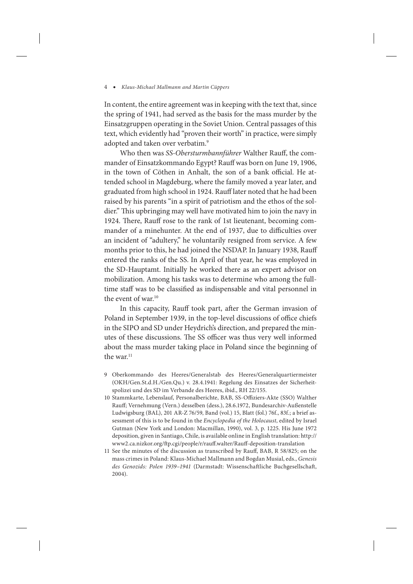In content, the entire agreement was in keeping with the text that, since the spring of 1941, had served as the basis for the mass murder by the Einsatzgruppen operating in the Soviet Union. Central passages of this text, which evidently had "proven their worth" in practice, were simply adopted and taken over verbatim.<sup>9</sup>

Who then was *SS-Obersturmbannführer* Walther Rauff, the commander of Einsatzkommando Egypt? Rauff was born on June 19, 1906, in the town of Cöthen in Anhalt, the son of a bank official. He attended school in Magdeburg, where the family moved a year later, and graduated from high school in 1924. Rauff later noted that he had been raised by his parents "in a spirit of patriotism and the ethos of the soldier." This upbringing may well have motivated him to join the navy in 1924. There, Rauff rose to the rank of 1st lieutenant, becoming commander of a minehunter. At the end of 1937, due to difficulties over an incident of "adultery," he voluntarily resigned from service. A few months prior to this, he had joined the NSDAP. In January 1938, Rauff entered the ranks of the SS. In April of that year, he was employed in the SD-Hauptamt. Initially he worked there as an expert advisor on mobilization. Among his tasks was to determine who among the fulltime staff was to be classified as indispensable and vital personnel in the event of war.<sup>10</sup>

In this capacity, Rauff took part, after the German invasion of Poland in September 1939, in the top-level discussions of office chiefs in the SIPO and SD under Heydrich's direction, and prepared the minutes of these discussions. The SS officer was thus very well informed about the mass murder taking place in Poland since the beginning of the war. $11$ 

- 9 Oberkommando des Heeres/Generalstab des Heeres/Generalquartiermeister (OKH/Gen.St.d.H./Gen.Qu.) v. 28.4.1941: Regelung des Einsatzes der Sicherheitspolizei und des SD im Verbande des Heeres, ibid., RH 22/155.
- 10 Stammkarte, Lebenslauf, Personalberichte, BAB, SS-Offiziers-Akte (SSO) Walther Rauff; Vernehmung (Vern.) desselben (dess.), 28.6.1972, Bundesarchiv-Außenstelle Ludwigsburg (BAL), 201 AR-Z 76/59, Band (vol.) 15, Blatt (fol.) 76f., 83f.; a brief assessment of this is to be found in the *Encyclopedia of the Holocaust*, edited by Israel Gutman (New York and London: Macmillan, 1990), vol. 3, p. 1225. His June 1972 deposition, given in Santiago, Chile, is available online in English translation: http:// www2.ca.nizkor.org/ftp.cgi/people/r/rauff.walter/Rauff-deposition-translation
- 11 See the minutes of the discussion as transcribed by Rauff, BAB, R 58/825; on the mass crimes in Poland: Klaus-Michael Mallmann and Bogdan Musial, eds., *Genesis des Genozids: Polen 1939–1941* (Darmstadt: Wissenschaftliche Buchgesellschaft, 2004).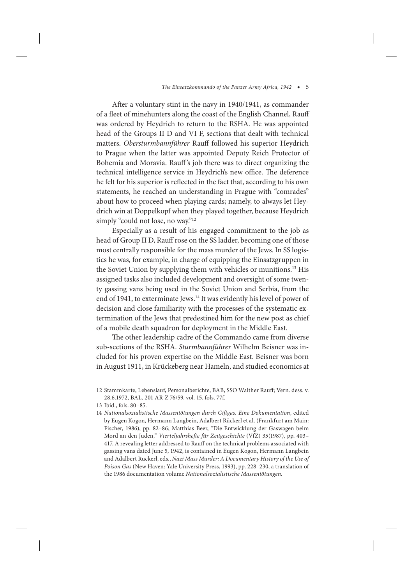After a voluntary stint in the navy in 1940/1941, as commander of a fleet of minehunters along the coast of the English Channel, Rauff was ordered by Heydrich to return to the RSHA. He was appointed head of the Groups II D and VI F, sections that dealt with technical matters. *Obersturmbannführer* Rauff followed his superior Heydrich to Prague when the latter was appointed Deputy Reich Protector of Bohemia and Moravia. Rauff's job there was to direct organizing the technical intelligence service in Heydrich's new office. The deference he felt for his superior is reflected in the fact that, according to his own statements, he reached an understanding in Prague with "comrades" about how to proceed when playing cards; namely, to always let Heydrich win at Doppelkopf when they played together, because Heydrich simply "could not lose, no way."<sup>12</sup>

Especially as a result of his engaged commitment to the job as head of Group II D, Rauff rose on the SS ladder, becoming one of those most centrally responsible for the mass murder of the Jews. In SS logistics he was, for example, in charge of equipping the Einsatzgruppen in the Soviet Union by supplying them with vehicles or munitions.13 His assigned tasks also included development and oversight of some twenty gassing vans being used in the Soviet Union and Serbia, from the end of 1941, to exterminate Jews.<sup>14</sup> It was evidently his level of power of decision and close familiarity with the processes of the systematic extermination of the Jews that predestined him for the new post as chief of a mobile death squadron for deployment in the Middle East.

The other leadership cadre of the Commando came from diverse sub-sections of the RSHA. *Sturmbannführer* Wilhelm Beisner was included for his proven expertise on the Middle East. Beisner was born in August 1911, in Krückeberg near Hameln, and studied economics at

<sup>12</sup> Stammkarte, Lebenslauf, Personalberichte, BAB, SSO Walther Rauff; Vern. dess. v. 28.6.1972, BAL, 201 AR-Z 76/59, vol. 15, fols. 77f.

<sup>13</sup> Ibid., fols. 80–85.

<sup>14</sup> *Nationalsozialistische Massentötungen durch Giftgas. Eine Dokumentation*, edited by Eugen Kogon, Hermann Langbein, Adalbert Rückerl et al. (Frankfurt am Main: Fischer, 1986), pp. 82–86; Matthias Beer, "Die Entwicklung der Gaswagen beim Mord an den Juden," *Vierteljahrshefte für Zeitgeschichte* (VfZ) 35(1987), pp. 403– 417. A revealing letter addressed to Rauff on the technical problems associated with gassing vans dated June 5, 1942, is contained in Eugen Kogon, Hermann Langbein and Adalbert Ruckerl, eds., *Nazi Mass Murder: A Documentary History of the Use of Poison Gas* (New Haven: Yale University Press, 1993), pp. 228–230, a translation of the 1986 documentation volume *Nationalsozialistische Massentötungen*.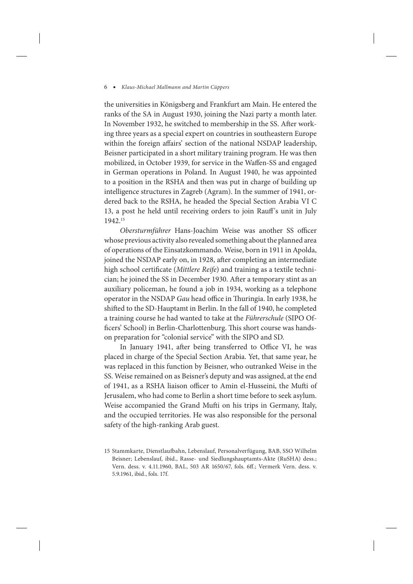the universities in Königsberg and Frankfurt am Main. He entered the ranks of the SA in August 1930, joining the Nazi party a month later. In November 1932, he switched to membership in the SS. After working three years as a special expert on countries in southeastern Europe within the foreign affairs' section of the national NSDAP leadership, Beisner participated in a short military training program. He was then mobilized, in October 1939, for service in the Waffen-SS and engaged in German operations in Poland. In August 1940, he was appointed to a position in the RSHA and then was put in charge of building up intelligence structures in Zagreb (Agram). In the summer of 1941, ordered back to the RSHA, he headed the Special Section Arabia VI C 13, a post he held until receiving orders to join Rauff's unit in July 1942.15

*Obersturmführer* Hans-Joachim Weise was another SS officer whose previous activity also revealed something about the planned area of operations of the Einsatzkommando. Weise, born in 1911 in Apolda, joined the NSDAP early on, in 1928, after completing an intermediate high school certificate (*Mittlere Reife*) and training as a textile technician; he joined the SS in December 1930. After a temporary stint as an auxiliary policeman, he found a job in 1934, working as a telephone operator in the NSDAP *Gau* head office in Thuringia. In early 1938, he shifted to the SD-Hauptamt in Berlin. In the fall of 1940, he completed a training course he had wanted to take at the *Führerschule* (SIPO Officers' School) in Berlin-Charlottenburg. This short course was handson preparation for "colonial service" with the SIPO and SD.

In January 1941, after being transferred to Office VI, he was placed in charge of the Special Section Arabia. Yet, that same year, he was replaced in this function by Beisner, who outranked Weise in the SS. Weise remained on as Beisner's deputy and was assigned, at the end of 1941, as a RSHA liaison officer to Amin el-Husseini, the Mufti of Jerusalem, who had come to Berlin a short time before to seek asylum. Weise accompanied the Grand Mufti on his trips in Germany, Italy, and the occupied territories. He was also responsible for the personal safety of the high-ranking Arab guest.

<sup>15</sup> Stammkarte, Dienstlaufbahn, Lebenslauf, Personalverfügung, BAB, SSO Wilhelm Beisner; Lebenslauf, ibid., Rasse- und Siedlungshauptamts-Akte (RuSHA) dess.; Vern. dess. v. 4.11.1960, BAL, 503 AR 1650/67, fols. 6ff.; Vermerk Vern. dess. v. 5.9.1961, ibid., fols. 17f.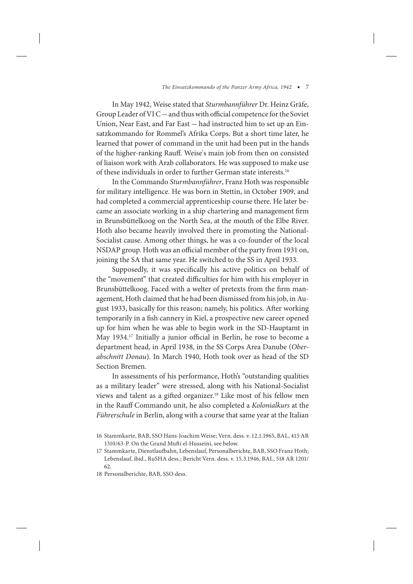In May 1942, Weise stated that *Sturmbannführer* Dr. Heinz Gräfe, Group Leader of VI C — and thus with official competence for the Soviet Union, Near East, and Far East — had instructed him to set up an Einsatzkommando for Rommel's Afrika Corps. But a short time later, he learned that power of command in the unit had been put in the hands of the higher-ranking Rauff. Weise's main job from then on consisted of liaison work with Arab collaborators. He was supposed to make use of these individuals in order to further German state interests.16

In the Commando *Sturmbannführer*, Franz Hoth was responsible for military intelligence. He was born in Stettin, in October 1909, and had completed a commercial apprenticeship course there. He later became an associate working in a ship chartering and management firm in Brunsbüttelkoog on the North Sea, at the mouth of the Elbe River. Hoth also became heavily involved there in promoting the National-Socialist cause. Among other things, he was a co-founder of the local NSDAP group. Hoth was an official member of the party from 1931 on, joining the SA that same year. He switched to the SS in April 1933.

Supposedly, it was specifically his active politics on behalf of the "movement" that created difficulties for him with his employer in Brunsbüttelkoog. Faced with a welter of pretexts from the firm management, Hoth claimed that he had been dismissed from his job, in August 1933, basically for this reason; namely, his politics. After working temporarily in a fish cannery in Kiel, a prospective new career opened up for him when he was able to begin work in the SD-Hauptamt in May 1934.17 Initially a junior official in Berlin, he rose to become a department head, in April 1938, in the SS Corps Area Danube (*Oberabschnitt Donau*). In March 1940, Hoth took over as head of the SD Section Bremen.

In assessments of his performance, Hoth's "outstanding qualities as a military leader" were stressed, along with his National-Socialist views and talent as a gifted organizer.<sup>18</sup> Like most of his fellow men in the Rauff Commando unit, he also completed a *Kolonialkurs* at the *Führerschule* in Berlin, along with a course that same year at the Italian

<sup>16</sup> Stammkarte, BAB, SSO Hans-Joachim Weise; Vern. dess. v. 12.1.1965, BAL, 415 AR 1310/63-P. On the Grand Mufti el-Husseini, see below.

<sup>17</sup> Stammkarte, Dienstlaufbahn, Lebenslauf, Personalberichte, BAB, SSO Franz Hoth; Lebenslauf, ibid., RuSHA dess.; Bericht Vern. dess. v. 15.3.1946, BAL, 518 AR 1201/ 62.

<sup>18</sup> Personalberichte, BAB, SSO dess.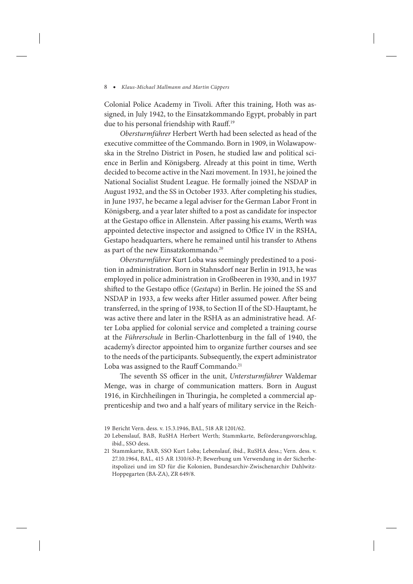Colonial Police Academy in Tivoli. After this training, Hoth was assigned, in July 1942, to the Einsatzkommando Egypt, probably in part due to his personal friendship with Rauff.<sup>19</sup>

*Obersturmführer* Herbert Werth had been selected as head of the executive committee of the Commando. Born in 1909, in Wolawapowska in the Strelno District in Posen, he studied law and political science in Berlin and Königsberg. Already at this point in time, Werth decided to become active in the Nazi movement. In 1931, he joined the National Socialist Student League. He formally joined the NSDAP in August 1932, and the SS in October 1933. After completing his studies, in June 1937, he became a legal adviser for the German Labor Front in Königsberg, and a year later shifted to a post as candidate for inspector at the Gestapo office in Allenstein. After passing his exams, Werth was appointed detective inspector and assigned to Office IV in the RSHA, Gestapo headquarters, where he remained until his transfer to Athens as part of the new Einsatzkommando.<sup>20</sup>

*Obersturmführer* Kurt Loba was seemingly predestined to a position in administration. Born in Stahnsdorf near Berlin in 1913, he was employed in police administration in Großbeeren in 1930, and in 1937 shifted to the Gestapo office (*Gestapa*) in Berlin. He joined the SS and NSDAP in 1933, a few weeks after Hitler assumed power. After being transferred, in the spring of 1938, to Section II of the SD-Hauptamt, he was active there and later in the RSHA as an administrative head. After Loba applied for colonial service and completed a training course at the *Führerschule* in Berlin-Charlottenburg in the fall of 1940, the academy's director appointed him to organize further courses and see to the needs of the participants. Subsequently, the expert administrator Loba was assigned to the Rauff Commando.<sup>21</sup>

The seventh SS officer in the unit, *Untersturmführer* Waldemar Menge, was in charge of communication matters. Born in August 1916, in Kirchheilingen in Thuringia, he completed a commercial apprenticeship and two and a half years of military service in the Reich-

<sup>19</sup> Bericht Vern. dess. v. 15.3.1946, BAL, 518 AR 1201/62.

<sup>20</sup> Lebenslauf, BAB, RuSHA Herbert Werth; Stammkarte, Beförderungsvorschlag, ibid., SSO dess.

<sup>21</sup> Stammkarte, BAB, SSO Kurt Loba; Lebenslauf, ibid., RuSHA dess.; Vern. dess. v. 27.10.1964, BAL, 415 AR 1310/63-P; Bewerbung um Verwendung in der Sicherheitspolizei und im SD für die Kolonien, Bundesarchiv-Zwischenarchiv Dahlwitz-Hoppegarten (BA-ZA), ZR 649/8.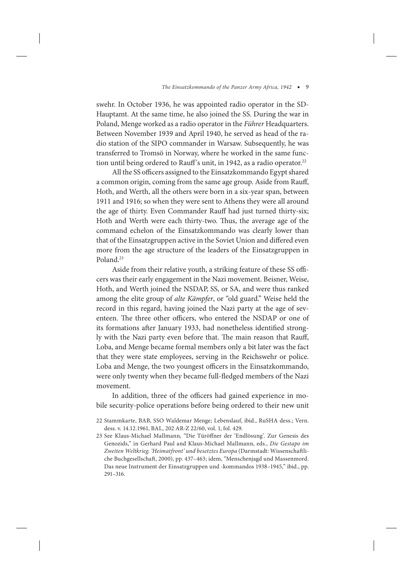swehr. In October 1936, he was appointed radio operator in the SD-Hauptamt. At the same time, he also joined the SS. During the war in Poland, Menge worked as a radio operator in the *Führer* Headquarters. Between November 1939 and April 1940, he served as head of the radio station of the SIPO commander in Warsaw. Subsequently, he was transferred to Tromsö in Norway, where he worked in the same function until being ordered to Rauff's unit, in 1942, as a radio operator.<sup>22</sup>

All the SS officers assigned to the Einsatzkommando Egypt shared a common origin, coming from the same age group. Aside from Rauff, Hoth, and Werth, all the others were born in a six-year span, between 1911 and 1916; so when they were sent to Athens they were all around the age of thirty. Even Commander Rauff had just turned thirty-six; Hoth and Werth were each thirty-two. Thus, the average age of the command echelon of the Einsatzkommando was clearly lower than that of the Einsatzgruppen active in the Soviet Union and differed even more from the age structure of the leaders of the Einsatzgruppen in Poland.<sup>23</sup>

Aside from their relative youth, a striking feature of these SS officers was their early engagement in the Nazi movement. Beisner, Weise, Hoth, and Werth joined the NSDAP, SS, or SA, and were thus ranked among the elite group of *alte Kämpfer*, or "old guard." Weise held the record in this regard, having joined the Nazi party at the age of seventeen. The three other officers, who entered the NSDAP or one of its formations after January 1933, had nonetheless identified strongly with the Nazi party even before that. The main reason that Rauff, Loba, and Menge became formal members only a bit later was the fact that they were state employees, serving in the Reichswehr or police. Loba and Menge, the two youngest officers in the Einsatzkommando, were only twenty when they became full-fledged members of the Nazi movement.

In addition, three of the officers had gained experience in mobile security-police operations before being ordered to their new unit

23 See Klaus-Michael Mallmann, "Die Türöffner der 'Endlösung'. Zur Genesis des Genozids," in Gerhard Paul and Klaus-Michael Mallmann, eds., *Die Gestapo im Zweiten Weltkrieg. 'Heimatfront' und besetztes Europa* (Darmstadt: Wissenschaftliche Buchgesellschaft, 2000), pp. 437–463; idem, "Menschenjagd und Massenmord. Das neue Instrument der Einsatzgruppen und -kommandos 1938–1945," ibid., pp. 291–316.

<sup>22</sup> Stammkarte, BAB, SSO Waldemar Menge; Lebenslauf, ibid., RuSHA dess.; Vern. dess. v. 14.12.1961, BAL, 202 AR-Z 22/60, vol. 1, fol. 429.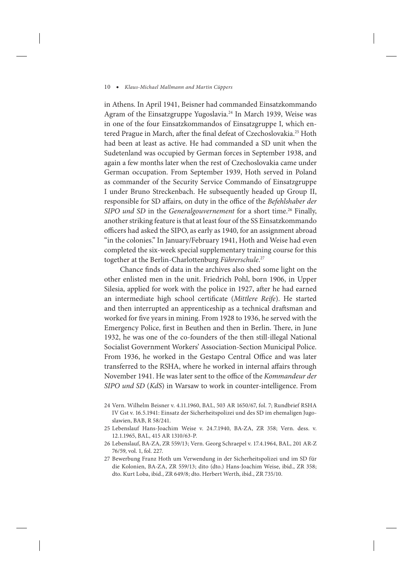in Athens. In April 1941, Beisner had commanded Einsatzkommando Agram of the Einsatzgruppe Yugoslavia.<sup>24</sup> In March 1939, Weise was in one of the four Einsatzkommandos of Einsatzgruppe I, which entered Prague in March, after the final defeat of Czechoslovakia.<sup>25</sup> Hoth had been at least as active. He had commanded a SD unit when the Sudetenland was occupied by German forces in September 1938, and again a few months later when the rest of Czechoslovakia came under German occupation. From September 1939, Hoth served in Poland as commander of the Security Service Commando of Einsatzgruppe I under Bruno Streckenbach. He subsequently headed up Group II, responsible for SD affairs, on duty in the office of the *Befehlshaber der SIPO und SD* in the *Generalgouvernement* for a short time.<sup>26</sup> Finally, another striking feature is that at least four of the SS Einsatzkommando officers had asked the SIPO, as early as 1940, for an assignment abroad "in the colonies." In January/February 1941, Hoth and Weise had even completed the six-week special supplementary training course for this together at the Berlin-Charlottenburg *Führerschule*. 27

Chance finds of data in the archives also shed some light on the other enlisted men in the unit. Friedrich Pohl, born 1906, in Upper Silesia, applied for work with the police in 1927, after he had earned an intermediate high school certificate (*Mittlere Reife*). He started and then interrupted an apprenticeship as a technical draftsman and worked for five years in mining. From 1928 to 1936, he served with the Emergency Police, first in Beuthen and then in Berlin. There, in June 1932, he was one of the co-founders of the then still-illegal National Socialist Government Workers' Association-Section Municipal Police. From 1936, he worked in the Gestapo Central Office and was later transferred to the RSHA, where he worked in internal affairs through November 1941. He was later sent to the office of the *Kommandeur der SIPO und SD* (*KdS*) in Warsaw to work in counter-intelligence. From

<sup>24</sup> Vern. Wilhelm Beisner v. 4.11.1960, BAL, 503 AR 1650/67, fol. 7; Rundbrief RSHA IV Gst v. 16.5.1941: Einsatz der Sicherheitspolizei und des SD im ehemaligen Jugoslawien, BAB, R 58/241.

<sup>25</sup> Lebenslauf Hans-Joachim Weise v. 24.7.1940, BA-ZA, ZR 358; Vern. dess. v. 12.1.1965, BAL, 415 AR 1310/63-P.

<sup>26</sup> Lebenslauf, BA-ZA, ZR 559/13; Vern. Georg Schraepel v. 17.4.1964, BAL, 201 AR-Z 76/59, vol. 1, fol. 227.

<sup>27</sup> Bewerbung Franz Hoth um Verwendung in der Sicherheitspolizei und im SD für die Kolonien, BA-ZA, ZR 559/13; dito (dto.) Hans-Joachim Weise, ibid., ZR 358; dto. Kurt Loba, ibid., ZR 649/8; dto. Herbert Werth, ibid., ZR 735/10.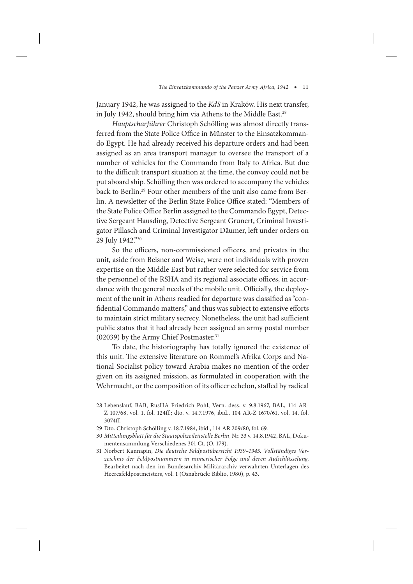January 1942, he was assigned to the *KdS* in Kraków. His next transfer, in July 1942, should bring him via Athens to the Middle East.<sup>28</sup>

*Hauptscharführer* Christoph Schölling was almost directly transferred from the State Police Office in Münster to the Einsatzkommando Egypt. He had already received his departure orders and had been assigned as an area transport manager to oversee the transport of a number of vehicles for the Commando from Italy to Africa. But due to the difficult transport situation at the time, the convoy could not be put aboard ship. Schölling then was ordered to accompany the vehicles back to Berlin.29 Four other members of the unit also came from Berlin. A newsletter of the Berlin State Police Office stated: "Members of the State Police Office Berlin assigned to the Commando Egypt, Detective Sergeant Hausding, Detective Sergeant Grunert, Criminal Investigator Pillasch and Criminal Investigator Däumer, left under orders on 29 July 1942."30

So the officers, non-commissioned officers, and privates in the unit, aside from Beisner and Weise, were not individuals with proven expertise on the Middle East but rather were selected for service from the personnel of the RSHA and its regional associate offices, in accordance with the general needs of the mobile unit. Officially, the deployment of the unit in Athens readied for departure was classified as "confidential Commando matters," and thus was subject to extensive efforts to maintain strict military secrecy. Nonetheless, the unit had sufficient public status that it had already been assigned an army postal number (02039) by the Army Chief Postmaster.<sup>31</sup>

To date, the historiography has totally ignored the existence of this unit. The extensive literature on Rommel's Afrika Corps and National-Socialist policy toward Arabia makes no mention of the order given on its assigned mission, as formulated in cooperation with the Wehrmacht, or the composition of its officer echelon, staffed by radical

<sup>28</sup> Lebenslauf, BAB, RusHA Friedrich Pohl; Vern. dess. v. 9.8.1967, BAL, 114 AR-Z 107/68, vol. 1, fol. 124ff.; dto. v. 14.7.1976, ibid., 104 AR-Z 1670/61, vol. 14, fol. 3074ff.

<sup>29</sup> Dto. Christoph Schölling v. 18.7.1984, ibid., 114 AR 209/80, fol. 69.

<sup>30</sup> *Mitteilungsblatt für die Staatspolizeileitstelle Berlin*, Nr. 33 v. 14.8.1942, BAL, Dokumentensammlung Verschiedenes 301 Ct. (O. 179).

<sup>31</sup> Norbert Kannapin, *Die deutsche Feldpostübersicht 1939–1945. Vollständiges Verzeichnis der Feldpostnummern in numerischer Folge und deren Aufschlüsselung*. Bearbeitet nach den im Bundesarchiv-Militärarchiv verwahrten Unterlagen des Heeresfeldpostmeisters, vol. 1 (Osnabrück: Biblio, 1980), p. 43.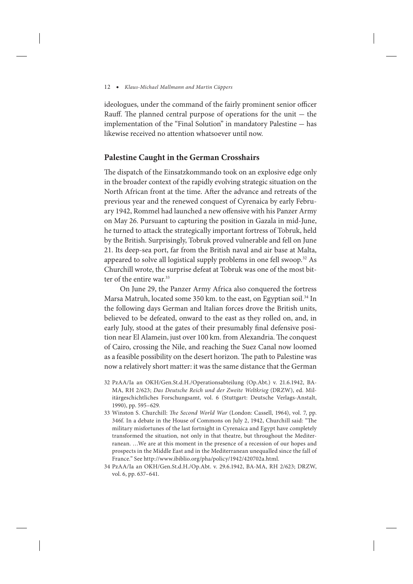ideologues, under the command of the fairly prominent senior officer Rauff. The planned central purpose of operations for the unit  $-$  the implementation of the "Final Solution" in mandatory Palestine — has likewise received no attention whatsoever until now.

# **Palestine Caught in the German Crosshairs**

The dispatch of the Einsatzkommando took on an explosive edge only in the broader context of the rapidly evolving strategic situation on the North African front at the time. After the advance and retreats of the previous year and the renewed conquest of Cyrenaica by early February 1942, Rommel had launched a new offensive with his Panzer Army on May 26. Pursuant to capturing the position in Gazala in mid-June, he turned to attack the strategically important fortress of Tobruk, held by the British. Surprisingly, Tobruk proved vulnerable and fell on June 21. Its deep-sea port, far from the British naval and air base at Malta, appeared to solve all logistical supply problems in one fell swoop.32 As Churchill wrote, the surprise defeat at Tobruk was one of the most bitter of the entire war.<sup>33</sup>

On June 29, the Panzer Army Africa also conquered the fortress Marsa Matruh, located some 350 km. to the east, on Egyptian soil.<sup>34</sup> In the following days German and Italian forces drove the British units, believed to be defeated, onward to the east as they rolled on, and, in early July, stood at the gates of their presumably final defensive position near El Alamein, just over 100 km. from Alexandria. The conquest of Cairo, crossing the Nile, and reaching the Suez Canal now loomed as a feasible possibility on the desert horizon. The path to Palestine was now a relatively short matter: it was the same distance that the German

- 32 PzAA/Ia an OKH/Gen.St.d.H./Operationsabteilung (Op.Abt.) v. 21.6.1942, BA-MA, RH 2/623; *Das Deutsche Reich und der Zweite Weltkrieg* (DRZW), ed. Militärgeschichtliches Forschungsamt, vol. 6 (Stuttgart: Deutsche Verlags-Anstalt, 1990), pp. 595–629.
- 33 Winston S. Churchill: *The Second World War* (London: Cassell, 1964), vol. 7, pp. 346f. In a debate in the House of Commons on July 2, 1942, Churchill said: "The military misfortunes of the last fortnight in Cyrenaica and Egypt have completely transformed the situation, not only in that theatre, but throughout the Mediterranean. …We are at this moment in the presence of a recession of our hopes and prospects in the Middle East and in the Mediterranean unequalled since the fall of France." See http://www.ibiblio.org/pha/policy/1942/420702a.html.
- 34 PzAA/Ia an OKH/Gen.St.d.H./Op.Abt. v. 29.6.1942, BA-MA, RH 2/623; DRZW, vol. 6, pp. 637–641.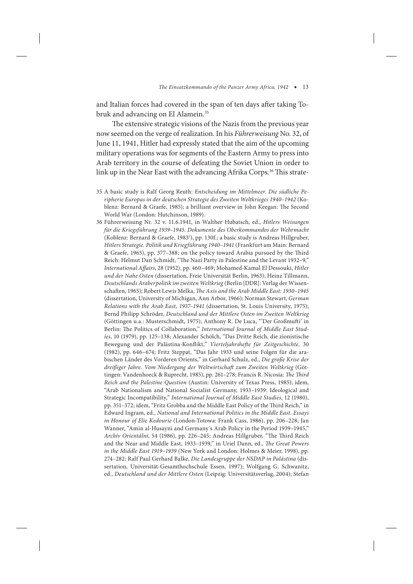and Italian forces had covered in the span of ten days after taking Tobruk and advancing on El Alamein.<sup>35</sup>

The extensive strategic visions of the Nazis from the previous year now seemed on the verge of realization. In his *Führerweisung* No. 32, of June 11, 1941, Hitler had expressly stated that the aim of the upcoming military operations was for segments of the Eastern Army to press into Arab territory in the course of defeating the Soviet Union in order to link up in the Near East with the advancing Afrika Corps.<sup>36</sup> This strate-

- 35 A basic study is Ralf Georg Reuth: *Entscheidung im Mittelmeer. Die südliche Peripherie Europas in der deutschen Strategie des Zweiten Weltkrieges 1940–1942* (Koblenz: Bernard & Graefe, 1985); a brilliant overview in John Keegan: The Second World War (London: Hutchinson, 1989).
- 36 Führerweisung Nr. 32 v. 11.6.1941, in Walther Hubatsch, ed., *Hitlers Weisungen für die Kriegsführung 1939–1945. Dokumente des Oberkommandos der Wehrmacht* (Koblenz: Bernard & Graefe, 1983<sup>2</sup>), pp. 130f.; a basic study is Andreas Hillgruber, *Hitlers Strategie. Politik und Kriegführung 1940–1941* (Frankfurt am Main: Bernard & Graefe, 1965), pp. 377–388; on the policy toward Arabia pursued by the Third Reich: Helmut Dan Schmidt, "The Nazi Party in Palestine and the Levant 1932–9," *International Affairs*, 28 (1952), pp. 460–469; Mohamed-Kamal El Dessouki, *Hitler und der Nahe Osten* (dissertation, Freie Universität Berlin, 1963); Heinz Tillmann, *Deutschlands Araberpolitik im zweiten Weltkrieg* (Berlin [DDR]: Verlag der Wissenschaften, 1965); Robert Lewis Melka, *The Axis and the Arab Middle East: 1930–1945* (dissertation, University of Michigan, Ann Arbor, 1966); Norman Stewart, *German Relations with the Arab East, 1937–1941* (dissertation, St. Louis University, 1975); Bernd Philipp Schröder, *Deutschland und der Mittlere Osten im Zweiten Weltkrieg* (Göttingen u.a.: Musterschmidt, 1975); Anthony R. De Luca, "'Der Großmufti' in Berlin: The Politics of Collaboration," *International Journal of Middle East Studies*, 10 (1979), pp. 125–138; Alexander Schölch, "Das Dritte Reich, die zionistische Bewegung und der Palästina-Konflikt," *Vierteljahrshefte für Zeitgeschichte*, 30 (1982), pp. 646–674; Fritz Steppat, "Das Jahr 1933 und seine Folgen für die arabischen Länder des Vorderen Orients," in Gerhard Schulz, ed., *Die große Krise der dreißiger Jahre. Vom Niedergang der Weltwirtschaft zum Zweiten Weltkrieg* (Göttingen: Vandenhoeck & Ruprecht, 1985), pp. 261–278; Francis R. Nicosia: *The Third Reich and the Palestine Question* (Austin: University of Texas Press, 1985); idem, "Arab Nationalism and National Socialist Germany, 1933–1939: Ideological and Strategic Incompatibility," *International Journal of Middle East Studies*, 12 (1980), pp. 351–372; idem, "Fritz Grobba and the Middle East Policy of the Third Reich," in Edward Ingram, ed., *National and International Politics in the Middle East. Essays in Honour of Elie Kedourie* (London-Totowa: Frank Cass, 1986), pp. 206–228; Jan Wanner, "Amin al-Husayni and Germany´s Arab Policy in the Period 1939–1945," *Archív Orientální*, 54 (1986), pp. 226–245; Andreas Hillgruber, "The Third Reich and the Near and Middle East, 1933–1939," in Uriel Dann, ed., *The Great Powers in the Middle East 1919–1939* (New York and London: Holmes & Meier, 1998), pp. 274–282; Ralf Paul Gerhard Balke, *Die Landesgruppe der NSDAP in Palästina* (dissertation, Universität-Gesamthochschule Essen, 1997); Wolfgang G. Schwanitz, ed., *Deutschland und der Mittlere Osten* (Leipzig: Universitätsverlag, 2004); Stefan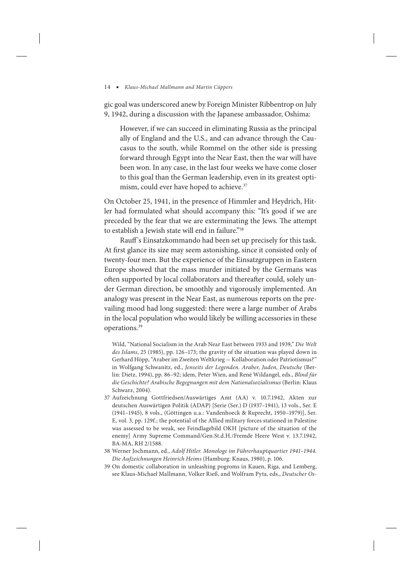gic goal was underscored anew by Foreign Minister Ribbentrop on July 9, 1942, during a discussion with the Japanese ambassador, Oshima:

However, if we can succeed in eliminating Russia as the principal ally of England and the U.S., and can advance through the Caucasus to the south, while Rommel on the other side is pressing forward through Egypt into the Near East, then the war will have been won. In any case, in the last four weeks we have come closer to this goal than the German leadership, even in its greatest optimism, could ever have hoped to achieve.<sup>37</sup>

On October 25, 1941, in the presence of Himmler and Heydrich, Hitler had formulated what should accompany this: "It's good if we are preceded by the fear that we are exterminating the Jews. The attempt to establish a Jewish state will end in failure."38

Rauff 's Einsatzkommando had been set up precisely for this task. At first glance its size may seem astonishing, since it consisted only of twenty-four men. But the experience of the Einsatzgruppen in Eastern Europe showed that the mass murder initiated by the Germans was often supported by local collaborators and thereafter could, solely under German direction, be smoothly and vigorously implemented. An analogy was present in the Near East, as numerous reports on the prevailing mood had long suggested: there were a large number of Arabs in the local population who would likely be willing accessories in these operations.39

Wild, "National Socialism in the Arab Near East between 1933 and 1939," *Die Welt des Islams*, 25 (1985), pp. 126–173; the gravity of the situation was played down in Gerhard Höpp, "Araber im Zweiten Weltkrieg — Kollaboration oder Patriotismus?" in Wolfgang Schwanitz, ed., *Jenseits der Legenden. Araber, Juden, Deutsche* (Berlin: Dietz, 1994), pp. 86–92; idem, Peter Wien, and René Wildangel, eds., *Blind für die Geschichte? Arabische Begegnungen mit dem Nationalsozialismus* (Berlin: Klaus Schwarz, 2004).

- 37 Aufzeichnung Gottfriedsen/Auswärtiges Amt (AA) v. 10.7.1942, Akten zur deutschen Auswärtigen Politik (ADAP) [Serie (Ser.) D (1937–1941), 13 vols., Ser. E (1941–1945), 8 vols., (Göttingen u.a.: Vandenhoeck & Ruprecht, 1950–1979)], Ser. E, vol. 3, pp. 129f.; the potential of the Allied military forces stationed in Palestine was assessed to be weak, see Feindlagebild OKH [picture of the situation of the enemy] Army Supreme Command/Gen.St.d.H./Fremde Heere West v. 13.7.1942, BA-MA, RH 2/1588.
- 38 Werner Jochmann, ed., *Adolf Hitler. Monologe im Führerhauptquartier 1941–1944. Die Aufzeichnungen Heinrich Heims* (Hamburg: Knaus, 1980), p. 106.
- 39 On domestic collaboration in unleashing pogroms in Kauen, Riga, and Lemberg, see Klaus-Michael Mallmann, Volker Rieß, and Wolfram Pyta, eds., *Deutscher Os-*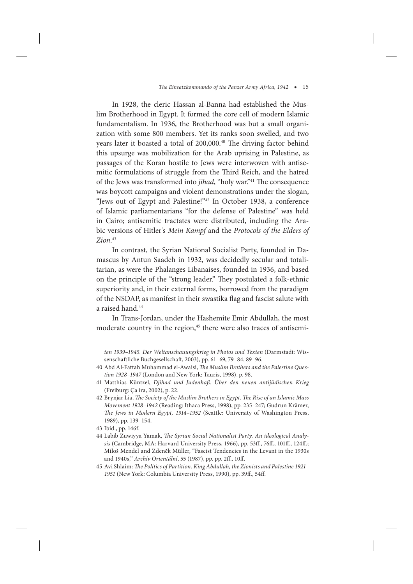In 1928, the cleric Hassan al-Banna had established the Muslim Brotherhood in Egypt. It formed the core cell of modern Islamic fundamentalism. In 1936, the Brotherhood was but a small organization with some 800 members. Yet its ranks soon swelled, and two years later it boasted a total of 200,000.<sup>40</sup> The driving factor behind this upsurge was mobilization for the Arab uprising in Palestine, as passages of the Koran hostile to Jews were interwoven with antisemitic formulations of struggle from the Third Reich, and the hatred of the Jews was transformed into *jihad*, "holy war."<sup>41</sup> The consequence was boycott campaigns and violent demonstrations under the slogan, "Jews out of Egypt and Palestine!"42 In October 1938, a conference of Islamic parliamentarians "for the defense of Palestine" was held in Cairo; antisemitic tractates were distributed, including the Arabic versions of Hitler's *Mein Kampf* and the *Protocols of the Elders of Zion*. 43

In contrast, the Syrian National Socialist Party, founded in Damascus by Antun Saadeh in 1932, was decidedly secular and totalitarian, as were the Phalanges Libanaises, founded in 1936, and based on the principle of the "strong leader." They postulated a folk-ethnic superiority and, in their external forms, borrowed from the paradigm of the NSDAP, as manifest in their swastika flag and fascist salute with a raised hand.<sup>44</sup>

In Trans-Jordan, under the Hashemite Emir Abdullah, the most moderate country in the region,<sup>45</sup> there were also traces of antisemi-

- 40 Abd Al-Fattah Muhammad el-Awaisi, *The Muslim Brothers and the Palestine Question 1928–1947* (London and New York: Tauris, 1998), p. 98.
- 41 Matthias Küntzel, *Djihad und Judenhaß. Über den neuen antijüdischen Krieg* (Freiburg: Ça ira, 2002), p. 22.
- 42 Brynjar Lia, *The Society of the Muslim Brothers in Egypt. The Rise of an Islamic Mass Movement 1928–1942* (Reading: Ithaca Press, 1998), pp. 235–247; Gudrun Krämer, *The Jews in Modern Egypt, 1914–1952* (Seattle: University of Washington Press, 1989), pp. 139–154.
- 43 Ibid., pp. 146f.
- 44 Labib Zuwiyya Yamak, *The Syrian Social Nationalist Party. An ideological Analysis* (Cambridge, MA: Harvard University Press, 1966), pp. 53ff., 76ff., 101ff., 124ff.; Miloš Mendel and Zdenĕk Müller, "Fascist Tendencies in the Levant in the 1930s and 1940s," *Archív Orientální*, 55 (1987), pp. pp. 2ff., 10ff.
- 45 Avi Shlaim: *The Politics of Partition. King Abdullah, the Zionists and Palestine 1921– 1951* (New York: Columbia University Press, 1990), pp. 39ff., 54ff.

*ten 1939–1945. Der Weltanschauungskrieg in Photos und Texten* (Darmstadt: Wissenschaftliche Buchgesellschaft, 2003), pp. 61–69, 79–84, 89–96.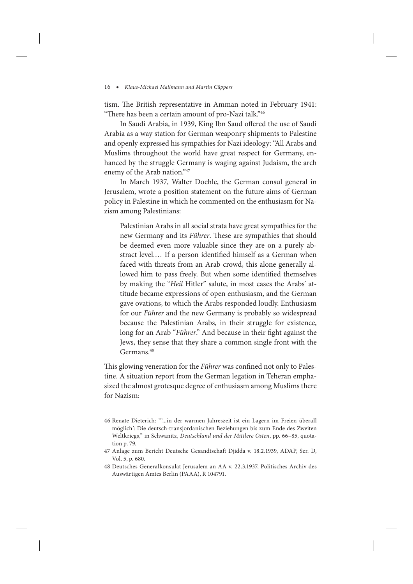tism. The British representative in Amman noted in February 1941: "There has been a certain amount of pro-Nazi talk."46

In Saudi Arabia, in 1939, King Ibn Saud offered the use of Saudi Arabia as a way station for German weaponry shipments to Palestine and openly expressed his sympathies for Nazi ideology: "All Arabs and Muslims throughout the world have great respect for Germany, enhanced by the struggle Germany is waging against Judaism, the arch enemy of the Arab nation."47

In March 1937, Walter Doehle, the German consul general in Jerusalem, wrote a position statement on the future aims of German policy in Palestine in which he commented on the enthusiasm for Nazism among Palestinians:

Palestinian Arabs in all social strata have great sympathies for the new Germany and its *Führer*. These are sympathies that should be deemed even more valuable since they are on a purely abstract level.… If a person identified himself as a German when faced with threats from an Arab crowd, this alone generally allowed him to pass freely. But when some identified themselves by making the "*Heil* Hitler" salute, in most cases the Arabs' attitude became expressions of open enthusiasm, and the German gave ovations, to which the Arabs responded loudly. Enthusiasm for our *Führer* and the new Germany is probably so widespread because the Palestinian Arabs, in their struggle for existence, long for an Arab "*Führer*." And because in their fight against the Jews, they sense that they share a common single front with the Germans.<sup>48</sup>

This glowing veneration for the *Führer* was confined not only to Palestine. A situation report from the German legation in Teheran emphasized the almost grotesque degree of enthusiasm among Muslims there for Nazism:

<sup>46</sup> Renate Dieterich: "'...in der warmen Jahreszeit ist ein Lagern im Freien überall möglich': Die deutsch-transjordanischen Beziehungen bis zum Ende des Zweiten Weltkriegs," in Schwanitz, *Deutschland und der Mittlere Osten*, pp. 66–85, quotation p. 79.

<sup>47</sup> Anlage zum Bericht Deutsche Gesandtschaft Djidda v. 18.2.1939, ADAP, Ser. D, Vol. 5, p. 680.

<sup>48</sup> Deutsches Generalkonsulat Jerusalem an AA v. 22.3.1937, Politisches Archiv des Auswärtigen Amtes Berlin (PAAA), R 104791.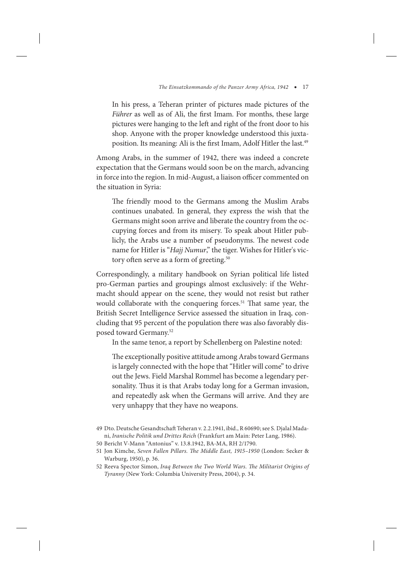In his press, a Teheran printer of pictures made pictures of the *Führer* as well as of Ali, the first Imam. For months, these large pictures were hanging to the left and right of the front door to his shop. Anyone with the proper knowledge understood this juxtaposition. Its meaning: Ali is the first Imam, Adolf Hitler the last.<sup>49</sup>

Among Arabs, in the summer of 1942, there was indeed a concrete expectation that the Germans would soon be on the march, advancing in force into the region. In mid-August, a liaison officer commented on the situation in Syria:

The friendly mood to the Germans among the Muslim Arabs continues unabated. In general, they express the wish that the Germans might soon arrive and liberate the country from the occupying forces and from its misery. To speak about Hitler publicly, the Arabs use a number of pseudonyms. The newest code name for Hitler is "*Hajj Numur*," the tiger. Wishes for Hitler's victory often serve as a form of greeting.<sup>50</sup>

Correspondingly, a military handbook on Syrian political life listed pro-German parties and groupings almost exclusively: if the Wehrmacht should appear on the scene, they would not resist but rather would collaborate with the conquering forces.<sup>51</sup> That same year, the British Secret Intelligence Service assessed the situation in Iraq, concluding that 95 percent of the population there was also favorably disposed toward Germany.52

In the same tenor, a report by Schellenberg on Palestine noted:

The exceptionally positive attitude among Arabs toward Germans is largely connected with the hope that "Hitler will come" to drive out the Jews. Field Marshal Rommel has become a legendary personality. Thus it is that Arabs today long for a German invasion, and repeatedly ask when the Germans will arrive. And they are very unhappy that they have no weapons.

50 Bericht V-Mann "Antonius" v. 13.8.1942, BA-MA, RH 2/1790.

<sup>49</sup> Dto. Deutsche Gesandtschaft Teheran v. 2.2.1941, ibid., R 60690; see S. Djalal Madani, *Iranische Politik und Drittes Reich* (Frankfurt am Main: Peter Lang, 1986).

<sup>51</sup> Jon Kimche, *Seven Fallen Pillars. The Middle East, 1915–1950* (London: Secker & Warburg, 1950), p. 36.

<sup>52</sup> Reeva Spector Simon, *Iraq Between the Two World Wars. The Militarist Origins of Tyranny* (New York: Columbia University Press, 2004), p. 34.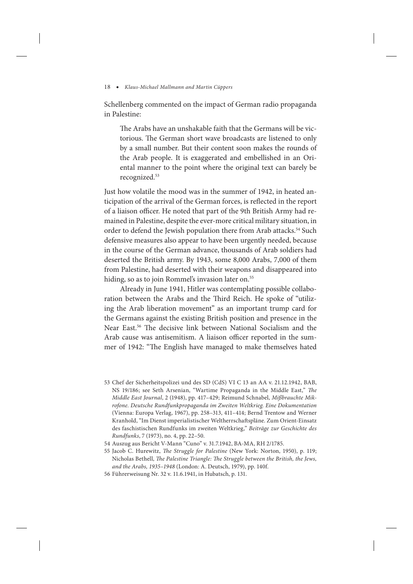Schellenberg commented on the impact of German radio propaganda in Palestine:

The Arabs have an unshakable faith that the Germans will be victorious. The German short wave broadcasts are listened to only by a small number. But their content soon makes the rounds of the Arab people. It is exaggerated and embellished in an Oriental manner to the point where the original text can barely be recognized.53

Just how volatile the mood was in the summer of 1942, in heated anticipation of the arrival of the German forces, is reflected in the report of a liaison officer. He noted that part of the 9th British Army had remained in Palestine, despite the ever-more critical military situation, in order to defend the Jewish population there from Arab attacks.<sup>54</sup> Such defensive measures also appear to have been urgently needed, because in the course of the German advance, thousands of Arab soldiers had deserted the British army. By 1943, some 8,000 Arabs, 7,000 of them from Palestine, had deserted with their weapons and disappeared into hiding, so as to join Rommel's invasion later on.<sup>55</sup>

Already in June 1941, Hitler was contemplating possible collaboration between the Arabs and the Third Reich. He spoke of "utilizing the Arab liberation movement" as an important trump card for the Germans against the existing British position and presence in the Near East.56 The decisive link between National Socialism and the Arab cause was antisemitism. A liaison officer reported in the summer of 1942: "The English have managed to make themselves hated

<sup>53</sup> Chef der Sicherheitspolizei und des SD (CdS) VI C 13 an AA v. 21.12.1942, BAB, NS 19/186; see Seth Arsenian, "Wartime Propaganda in the Middle East," *The Middle East Journal*, 2 (1948), pp. 417–429; Reimund Schnabel, *Mißbrauchte Mikrofone. Deutsche Rundfunkpropaganda im Zweiten Weltkrieg. Eine Dokumentation* (Vienna: Europa Verlag, 1967), pp. 258–313, 411–414; Bernd Trentow and Werner Kranhold, "Im Dienst imperialistischer Weltherrschaftspläne. Zum Orient-Einsatz des faschistischen Rundfunks im zweiten Weltkrieg," *Beiträge zur Geschichte des Rundfunks*, 7 (1973), no. 4, pp. 22–50.

<sup>54</sup> Auszug aus Bericht V-Mann "Cuno" v. 31.7.1942, BA-MA, RH 2/1785.

<sup>55</sup> Jacob C. Hurewitz, *The Struggle for Palestine* (New York: Norton, 1950), p. 119; Nicholas Bethell, *The Palestine Triangle: The Struggle between the British, the Jews, and the Arabs, 1935–1948* (London: A. Deutsch, 1979), pp. 140f.

<sup>56</sup> Führerweisung Nr. 32 v. 11.6.1941, in Hubatsch, p. 131.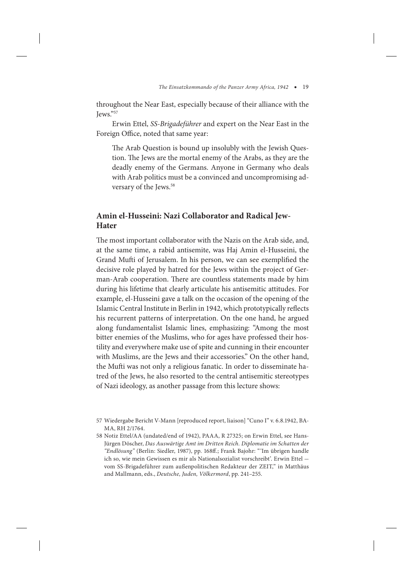throughout the Near East, especially because of their alliance with the Jews."57

Erwin Ettel, *SS-Brigadeführer* and expert on the Near East in the Foreign Office, noted that same year:

The Arab Question is bound up insolubly with the Jewish Question. The Jews are the mortal enemy of the Arabs, as they are the deadly enemy of the Germans. Anyone in Germany who deals with Arab politics must be a convinced and uncompromising adversary of the Jews.<sup>58</sup>

# **Amin el-Husseini: Nazi Collaborator and Radical Jew-Hater**

The most important collaborator with the Nazis on the Arab side, and, at the same time, a rabid antisemite, was Haj Amin el-Husseini, the Grand Mufti of Jerusalem. In his person, we can see exemplified the decisive role played by hatred for the Jews within the project of German-Arab cooperation. There are countless statements made by him during his lifetime that clearly articulate his antisemitic attitudes. For example, el-Husseini gave a talk on the occasion of the opening of the Islamic Central Institute in Berlin in 1942, which prototypically reflects his recurrent patterns of interpretation. On the one hand, he argued along fundamentalist Islamic lines, emphasizing: "Among the most bitter enemies of the Muslims, who for ages have professed their hostility and everywhere make use of spite and cunning in their encounter with Muslims, are the Jews and their accessories." On the other hand, the Mufti was not only a religious fanatic. In order to disseminate hatred of the Jews, he also resorted to the central antisemitic stereotypes of Nazi ideology, as another passage from this lecture shows:

<sup>57</sup> Wiedergabe Bericht V-Mann [reproduced report, liaison] "Cuno I" v. 6.8.1942, BA-MA, RH 2/1764.

<sup>58</sup> Notiz Ettel/AA (undated/end of 1942), PAAA, R 27325; on Erwin Ettel, see Hans-Jürgen Döscher, *Das Auswärtige Amt im Dritten Reich. Diplomatie im Schatten der "Endlösung"* (Berlin: Siedler, 1987), pp. 168ff.; Frank Bajohr: "'Im übrigen handle ich so, wie mein Gewissen es mir als Nationalsozialist vorschreibt'. Erwin Ettel vom SS-Brigadeführer zum außenpolitischen Redakteur der ZEIT," in Matthäus and Mallmann, eds., *Deutsche, Juden, Völkermord*, pp. 241–255.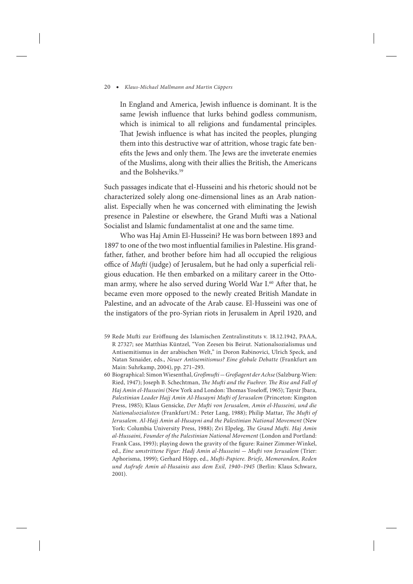In England and America, Jewish influence is dominant. It is the same Jewish influence that lurks behind godless communism, which is inimical to all religions and fundamental principles. That Jewish influence is what has incited the peoples, plunging them into this destructive war of attrition, whose tragic fate benefits the Jews and only them. The Jews are the inveterate enemies of the Muslims, along with their allies the British, the Americans and the Bolsheviks.59

Such passages indicate that el-Husseini and his rhetoric should not be characterized solely along one-dimensional lines as an Arab nationalist. Especially when he was concerned with eliminating the Jewish presence in Palestine or elsewhere, the Grand Mufti was a National Socialist and Islamic fundamentalist at one and the same time.

Who was Haj Amin El-Husseini? He was born between 1893 and 1897 to one of the two most influential families in Palestine. His grandfather, father, and brother before him had all occupied the religious office of *Mufti* (judge) of Jerusalem, but he had only a superficial religious education. He then embarked on a military career in the Ottoman army, where he also served during World War I.<sup>60</sup> After that, he became even more opposed to the newly created British Mandate in Palestine, and an advocate of the Arab cause. El-Husseini was one of the instigators of the pro-Syrian riots in Jerusalem in April 1920, and

- 59 Rede Mufti zur Eröffnung des Islamischen Zentralinstituts v. 18.12.1942, PAAA, R 27327; see Matthias Küntzel, "Von Zeesen bis Beirut. Nationalsozialismus und Antisemitismus in der arabischen Welt," in Doron Rabinovici, Ulrich Speck, and Natan Sznaider, eds., *Neuer Antisemitismus? Eine globale Debatte* (Frankfurt am Main: Suhrkamp, 2004), pp. 271–293.
- 60 Biographical: Simon Wiesenthal, *Großmufti* — *Großagent der Achse* (Salzburg-Wien: Ried, 1947); Joseph B. Schechtman, *The Mufti and the Fuehrer. The Rise and Fall of Haj Amin el-Husseini* (New York and London: Thomas Yoseloff, 1965); Taysir Jbara, *Palestinian Leader Hajj Amin Al-Husayni Mufti of Jerusalem* (Princeton: Kingston Press, 1985); Klaus Gensicke, *Der Mufti von Jerusalem, Amin el-Husseini, und die Nationalsozialisten* (Frankfurt/M.: Peter Lang, 1988); Philip Mattar, *The Mufti of Jerusalem. Al-Hajj Amin al-Husayni and the Palestinian National Movement* (New York: Columbia University Press, 1988); Zvi Elpeleg, *The Grand Mufti. Haj Amin al-Hussaini, Founder of the Palestinian National Movement* (London and Portland: Frank Cass, 1993); playing down the gravity of the figure: Rainer Zimmer-Winkel, ed., *Eine umstrittene Figur: Hadj Amin al-Husseini* — *Mufti von Jerusalem* (Trier: Aphorisma, 1999); Gerhard Höpp, ed., *Mufti-Papiere. Briefe, Memoranden, Reden und Aufrufe Amin al-Husainis aus dem Exil, 1940–1945* (Berlin: Klaus Schwarz, 2001).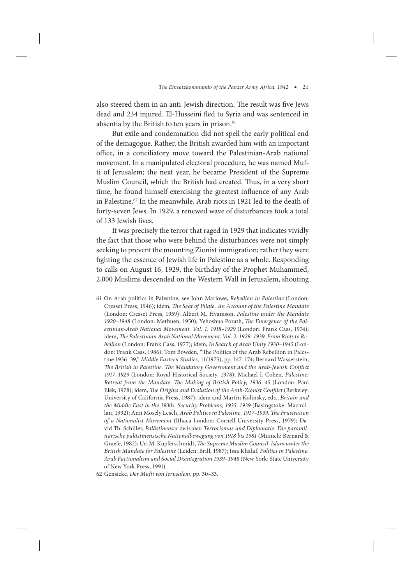also steered them in an anti-Jewish direction. The result was five Jews dead and 234 injured. El-Husseini fled to Syria and was sentenced in absentia by the British to ten years in prison.<sup>61</sup>

But exile and condemnation did not spell the early political end of the demagogue. Rather, the British awarded him with an important office, in a conciliatory move toward the Palestinian-Arab national movement. In a manipulated electoral procedure, he was named Mufti of Jerusalem; the next year, he became President of the Supreme Muslim Council, which the British had created. Thus, in a very short time, he found himself exercising the greatest influence of any Arab in Palestine.62 In the meanwhile, Arab riots in 1921 led to the death of forty-seven Jews. In 1929, a renewed wave of disturbances took a total of 133 Jewish lives.

It was precisely the terror that raged in 1929 that indicates vividly the fact that those who were behind the disturbances were not simply seeking to prevent the mounting Zionist immigration; rather they were fighting the essence of Jewish life in Palestine as a whole. Responding to calls on August 16, 1929, the birthday of the Prophet Muhammed, 2,000 Muslims descended on the Western Wall in Jerusalem, shouting

61 On Arab politics in Palestine, see John Marlowe, *Rebellion in Palestine* (London: Cresset Press, 1946); idem, *The Seat of Pilate. An Account of the Palestine Mandate* (London: Cresset Press, 1959); Albert M. Hyamson, *Palestine under the Mandate 1920–1948* (London: Methuen, 1950); Yehoshua Porath, *The Emergence of the Palestinian-Arab National Movement. Vol. 1: 1918–1929* (London: Frank Cass, 1974); idem, *The Palestinian Arab National Movement. Vol. 2: 1929–1939. From Riots to Rebellion* (London: Frank Cass, 1977); idem, *In Search of Arab Unity 1930–1945* (London: Frank Cass, 1986); Tom Bowden, "The Politics of the Arab Rebellion in Palestine 1936–39," *Middle Eastern Studies,* 11(1975), pp. 147–174; Bernard Wasserstein, *The British in Palestine. The Mandatory Government and the Arab-Jewish Conflict 1917–1929* (London: Royal Historical Society, 1978); Michael J. Cohen, *Palestine: Retreat from the Mandate. The Making of British Policy, 1936–45* (London: Paul Elek, 1978); idem, *The Origins and Evolution of the Arab-Zionist Conflict* (Berkeley: University of California Press, 1987); idem and Martin Kolinsky, eds., *Britain and the Middle East in the 1930s. Security Problems, 1935–1939* (Basingstoke: Macmillan, 1992); Ann Mosely Lesch, *Arab Politics in Palestine, 1917–1939. The Frustration of a Nationalist Movement* (Ithaca-London: Cornell University Press, 1979); David Th. Schiller, *Palästinenser zwischen Terrorismus und Diplomatie. Die paramilitärische palästinensische Nationalbewegung von 1918 bis 1981* (Munich: Bernard & Graefe, 1982); Uri M. Kupferschmidt, *The Supreme Muslim Council. Islam under the British Mandate for Palestine* (Leiden: Brill, 1987); Issa Khalaf, *Politics in Palestine. Arab Factionalism and Social Disintegration 1939–1948* (New York: State University of New York Press, 1991).

62 Gensicke, *Der Mufti von Jerusalem*, pp. 30–33.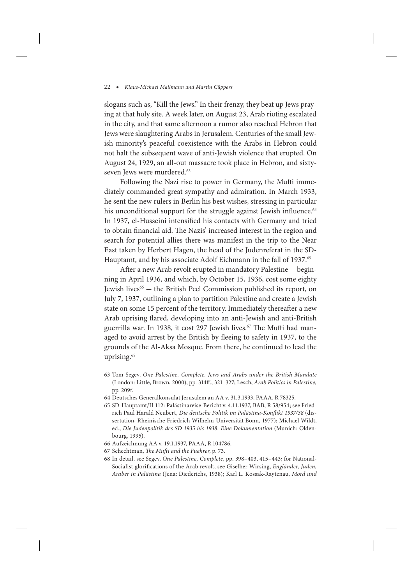slogans such as, "Kill the Jews." In their frenzy, they beat up Jews praying at that holy site. A week later, on August 23, Arab rioting escalated in the city, and that same afternoon a rumor also reached Hebron that Jews were slaughtering Arabs in Jerusalem. Centuries of the small Jewish minority's peaceful coexistence with the Arabs in Hebron could not halt the subsequent wave of anti-Jewish violence that erupted. On August 24, 1929, an all-out massacre took place in Hebron, and sixtyseven Jews were murdered.<sup>63</sup>

Following the Nazi rise to power in Germany, the Mufti immediately commanded great sympathy and admiration. In March 1933, he sent the new rulers in Berlin his best wishes, stressing in particular his unconditional support for the struggle against Jewish influence.<sup>64</sup> In 1937, el-Husseini intensified his contacts with Germany and tried to obtain financial aid. The Nazis' increased interest in the region and search for potential allies there was manifest in the trip to the Near East taken by Herbert Hagen, the head of the Judenreferat in the SD-Hauptamt, and by his associate Adolf Eichmann in the fall of 1937.<sup>65</sup>

After a new Arab revolt erupted in mandatory Palestine — beginning in April 1936, and which, by October 15, 1936, cost some eighty Jewish lives<sup>66</sup> – the British Peel Commission published its report, on July 7, 1937, outlining a plan to partition Palestine and create a Jewish state on some 15 percent of the territory. Immediately thereafter a new Arab uprising flared, developing into an anti-Jewish and anti-British guerrilla war. In 1938, it cost 297 Jewish lives.<sup>67</sup> The Mufti had managed to avoid arrest by the British by fleeing to safety in 1937, to the grounds of the Al-Aksa Mosque. From there, he continued to lead the uprising.<sup>68</sup>

- 63 Tom Segev, *One Palestine, Complete. Jews and Arabs under the British Mandate*  (London: Little, Brown, 2000), pp. 314ff., 321–327; Lesch, *Arab Politics in Palestine,* pp. 209f.
- 64 Deutsches Generalkonsulat Jerusalem an AA v. 31.3.1933, PAAA, R 78325.
- 65 SD-Hauptamt/II 112: Palästinareise-Bericht v. 4.11.1937, BAB, R 58/954; see Friedrich Paul Harald Neubert, *Die deutsche Politik im Palästina-Konflikt 1937/38* (dissertation, Rheinische Friedrich-Wilhelm-Universität Bonn, 1977); Michael Wildt, ed., *Die Judenpolitik des SD 1935 bis 1938. Eine Dokumentation* (Munich: Oldenbourg, 1995).
- 66 Aufzeichnung AA v. 19.1.1937, PAAA, R 104786.
- 67 Schechtman, *The Mufti and the Fuehrer*, p. 73.
- 68 In detail, see Segev, *One Palestine, Complete*, pp. 398–403, 415–443; for National-Socialist glorifications of the Arab revolt, see Giselher Wirsing, *Engländer, Juden, Araber in Palästina* (Jena: Diederichs, 1938); Karl L. Kossak-Raytenau, *Mord und*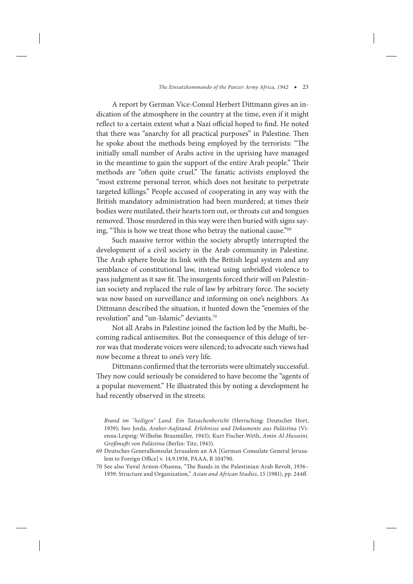A report by German Vice-Consul Herbert Dittmann gives an indication of the atmosphere in the country at the time, even if it might reflect to a certain extent what a Nazi official hoped to find. He noted that there was "anarchy for all practical purposes" in Palestine. Then he spoke about the methods being employed by the terrorists: "The initially small number of Arabs active in the uprising have managed in the meantime to gain the support of the entire Arab people." Their methods are "often quite cruel." The fanatic activists employed the "most extreme personal terror, which does not hesitate to perpetrate targeted killings." People accused of cooperating in any way with the British mandatory administration had been murdered; at times their bodies were mutilated, their hearts torn out, or throats cut and tongues removed. Those murdered in this way were then buried with signs saying, "This is how we treat those who betray the national cause."<sup>69</sup>

Such massive terror within the society abruptly interrupted the development of a civil society in the Arab community in Palestine. The Arab sphere broke its link with the British legal system and any semblance of constitutional law, instead using unbridled violence to pass judgment as it saw fit. The insurgents forced their will on Palestinian society and replaced the rule of law by arbitrary force. The society was now based on surveillance and informing on one's neighbors. As Dittmann described the situation, it hunted down the "enemies of the revolution" and "un-Islamic" deviants.70

Not all Arabs in Palestine joined the faction led by the Mufti, becoming radical antisemites. But the consequence of this deluge of terror was that moderate voices were silenced; to advocate such views had now become a threat to one's very life.

Dittmann confirmed that the terrorists were ultimately successful. They now could seriously be considered to have become the "agents of a popular movement." He illustrated this by noting a development he had recently observed in the streets:

- 69 Deutsches Generalkonsulat Jerusalem an AA [German Consulate General Jerusalem to Foreign Office] v. 14.9.1938, PAAA, R 104790.
- 70 See also Yuval Arnon-Ohanna, "The Bands in the Palestinian Arab Revolt, 1936– 1939: Structure and Organization," *Asian and African Studies*, 15 (1981), pp. 244ff.

*Brand im "heiligen" Land. Ein Tatsachenbericht* (Herrsching: Deutscher Hort, 1939); Iwo Jorda, *Araber-Aufstand. Erlebnisse und Dokumente aus Palästina* (Vienna-Leipzig: Wilhelm Braumüller, 1943); Kurt Fischer-Weth, *Amin Al-Husseini. Großmufti von Palästina* (Berlin: Titz, 1943).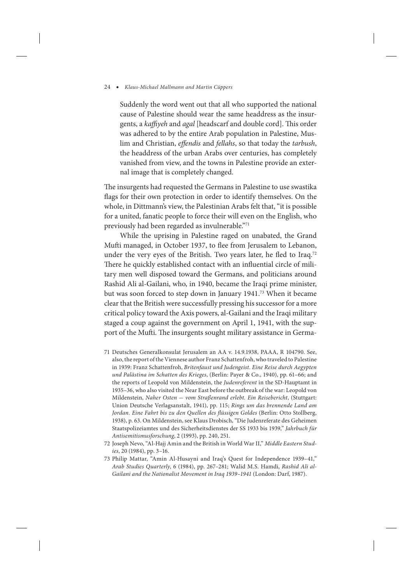Suddenly the word went out that all who supported the national cause of Palestine should wear the same headdress as the insurgents, a *kaffiyeh* and *agal* [headscarf and double cord]. This order was adhered to by the entire Arab population in Palestine, Muslim and Christian, *effendis* and *fellahs*, so that today the *tarbush*, the headdress of the urban Arabs over centuries, has completely vanished from view, and the towns in Palestine provide an external image that is completely changed.

The insurgents had requested the Germans in Palestine to use swastika flags for their own protection in order to identify themselves. On the whole, in Dittmann's view, the Palestinian Arabs felt that, "it is possible for a united, fanatic people to force their will even on the English, who previously had been regarded as invulnerable."71

While the uprising in Palestine raged on unabated, the Grand Mufti managed, in October 1937, to flee from Jerusalem to Lebanon, under the very eyes of the British. Two years later, he fled to Iraq.<sup>72</sup> There he quickly established contact with an influential circle of military men well disposed toward the Germans, and politicians around Rashid Ali al-Gailani, who, in 1940, became the Iraqi prime minister, but was soon forced to step down in January 1941.73 When it became clear that the British were successfully pressing his successor for a more critical policy toward the Axis powers, al-Gailani and the Iraqi military staged a coup against the government on April 1, 1941, with the support of the Mufti. The insurgents sought military assistance in Germa-

- 71 Deutsches Generalkonsulat Jerusalem an AA v. 14.9.1938, PAAA, R 104790. See, also, the report of the Viennese author Franz Schattenfroh, who traveled to Palestine in 1939: Franz Schattenfroh, *Britenfaust und Judengeist. Eine Reise durch Aegypten und Palästina im Schatten des Krieges*, (Berlin: Payer & Co., 1940), pp. 61–66; and the reports of Leopold von Mildenstein, the *Judenreferent* in the SD-Hauptamt in 1935–36, who also visited the Near East before the outbreak of the war: Leopold von Mildenstein, *Naher Osten* — *vom Straßenrand erlebt. Ein Reisebericht*, (Stuttgart: Union Deutsche Verlagsanstalt, 1941), pp. 115; *Rings um das brennende Land am Jordan. Eine Fahrt bis zu den Quellen des flüssigen Goldes* (Berlin: Otto Stollberg, 1938), p. 63. On Mildenstein, see Klaus Drobisch, "Die Judenreferate des Geheimen Staatspolizeiamtes und des Sicherheitsdienstes der SS 1933 bis 1939," *Jahrbuch für Antisemitismusforschung*, 2 (1993), pp. 240, 251.
- 72 Joseph Nevo, "Al-Hajj Amin and the British in World War II," *Middle Eastern Studies*, 20 (1984), pp. 3–16.
- 73 Philip Mattar, "Amin Al-Husayni and Iraq's Quest for Independence 1939–41," *Arab Studies Quarterly*, 6 (1984), pp. 267–281; Walid M.S. Hamdi, *Rashid Ali al-Gailani and the Nationalist Movement in Iraq 1939–1941* (London: Darf, 1987).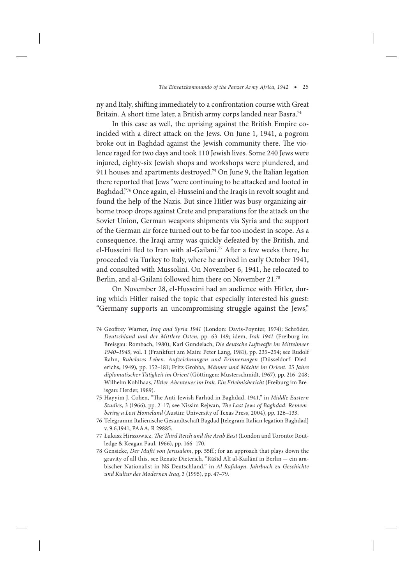ny and Italy, shifting immediately to a confrontation course with Great Britain. A short time later, a British army corps landed near Basra.<sup>74</sup>

In this case as well, the uprising against the British Empire coincided with a direct attack on the Jews. On June 1, 1941, a pogrom broke out in Baghdad against the Jewish community there. The violence raged for two days and took 110 Jewish lives. Some 240 Jews were injured, eighty-six Jewish shops and workshops were plundered, and 911 houses and apartments destroyed.75 On June 9, the Italian legation there reported that Jews "were continuing to be attacked and looted in Baghdad."76 Once again, el-Husseini and the Iraqis in revolt sought and found the help of the Nazis. But since Hitler was busy organizing airborne troop drops against Crete and preparations for the attack on the Soviet Union, German weapons shipments via Syria and the support of the German air force turned out to be far too modest in scope. As a consequence, the Iraqi army was quickly defeated by the British, and el-Husseini fled to Iran with al-Gailani.<sup>77</sup> After a few weeks there, he proceeded via Turkey to Italy, where he arrived in early October 1941, and consulted with Mussolini. On November 6, 1941, he relocated to Berlin, and al-Gailani followed him there on November 21.78

On November 28, el-Husseini had an audience with Hitler, during which Hitler raised the topic that especially interested his guest: "Germany supports an uncompromising struggle against the Jews,"

- 74 Geoffrey Warner, *Iraq and Syria 1941* (London: Davis-Poynter, 1974); Schröder, *Deutschland und der Mittlere Osten*, pp. 63–149; idem, *Irak 1941* (Freiburg im Breisgau: Rombach, 1980); Karl Gundelach, *Die deutsche Luftwaffe im Mittelmeer 1940–1945*, vol. 1 (Frankfurt am Main: Peter Lang, 1981), pp. 235–254; see Rudolf Rahn, *Ruheloses Leben. Aufzeichnungen und Erinnerungen* (Düsseldorf: Diederichs, 1949), pp. 152–181; Fritz Grobba, *Männer und Mächte im Orient. 25 Jahre diplomatischer Tätigkeit im Orient* (Göttingen: Musterschmidt, 1967), pp. 216–248; Wilhelm Kohlhaas, *Hitler-Abenteuer im Irak. Ein Erlebnisbericht* (Freiburg im Breisgau: Herder, 1989).
- 75 Hayyim J. Cohen, "The Anti-Jewish Farhūd in Baghdad, 1941," in *Middle Eastern Studies*, 3 (1966), pp. 2–17; see Nissim Rejwan, *The Last Jews of Baghdad. Remembering a Lost Homeland* (Austin: University of Texas Press, 2004), pp. 126–133.
- 76 Telegramm Italienische Gesandtschaft Bagdad [telegram Italian legation Baghdad] v. 9.6.1941, PAAA, R 29885.
- 77 Łukasz Hirszowicz, *The Third Reich and the Arab East* (London and Toronto: Routledge & Keagan Paul, 1966), pp. 166–170.
- 78 Gensicke, *Der Mufti von Jerusalem*, pp. 55ff.; for an approach that plays down the gravity of all this, see Renate Dieterich, "Rāšīd Ālī al-Kailānī in Berlin — ein arabischer Nationalist in NS-Deutschland," in *Al-Rafidayn. Jahrbuch zu Geschichte und Kultur des Modernen Iraq*, 3 (1995), pp. 47–79.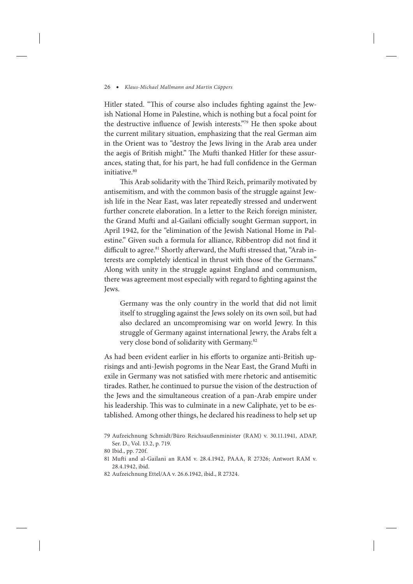Hitler stated. "This of course also includes fighting against the Jewish National Home in Palestine, which is nothing but a focal point for the destructive influence of Jewish interests."79 He then spoke about the current military situation, emphasizing that the real German aim in the Orient was to "destroy the Jews living in the Arab area under the aegis of British might." The Mufti thanked Hitler for these assurances, stating that, for his part, he had full confidence in the German initiative.<sup>80</sup>

This Arab solidarity with the Third Reich, primarily motivated by antisemitism, and with the common basis of the struggle against Jewish life in the Near East, was later repeatedly stressed and underwent further concrete elaboration. In a letter to the Reich foreign minister, the Grand Mufti and al-Gailani officially sought German support, in April 1942, for the "elimination of the Jewish National Home in Palestine." Given such a formula for alliance, Ribbentrop did not find it difficult to agree.<sup>81</sup> Shortly afterward, the Mufti stressed that, "Arab interests are completely identical in thrust with those of the Germans." Along with unity in the struggle against England and communism, there was agreement most especially with regard to fighting against the Jews.

Germany was the only country in the world that did not limit itself to struggling against the Jews solely on its own soil, but had also declared an uncompromising war on world Jewry. In this struggle of Germany against international Jewry, the Arabs felt a very close bond of solidarity with Germany.82

As had been evident earlier in his efforts to organize anti-British uprisings and anti-Jewish pogroms in the Near East, the Grand Mufti in exile in Germany was not satisfied with mere rhetoric and antisemitic tirades. Rather, he continued to pursue the vision of the destruction of the Jews and the simultaneous creation of a pan-Arab empire under his leadership. This was to culminate in a new Caliphate, yet to be established. Among other things, he declared his readiness to help set up

82 Aufzeichnung Ettel/AA v. 26.6.1942, ibid., R 27324.

<sup>79</sup> Aufzeichnung Schmidt/Büro Reichsaußenminister (RAM) v. 30.11.1941, ADAP, Ser. D., Vol. 13.2, p. 719.

<sup>80</sup> Ibid., pp. 720f.

<sup>81</sup> Mufti and al-Gailani an RAM v. 28.4.1942, PAAA, R 27326; Antwort RAM v. 28.4.1942, ibid.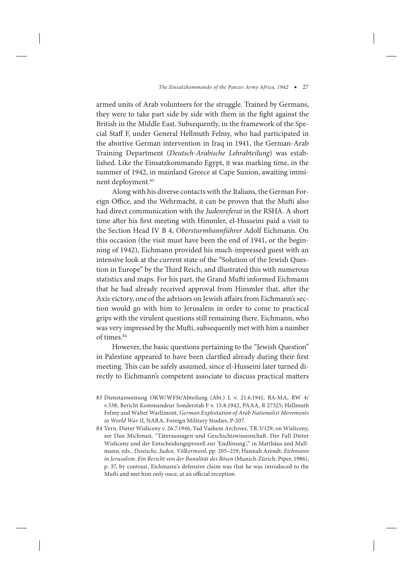armed units of Arab volunteers for the struggle. Trained by Germans, they were to take part side by side with them in the fight against the British in the Middle East. Subsequently, in the framework of the Special Staff F, under General Hellmuth Felmy, who had participated in the abortive German intervention in Iraq in 1941, the German-Arab Training Department (*Deutsch-Arabische Lehrabteilung*) was established. Like the Einsatzkommando Egypt, it was marking time, in the summer of 1942, in mainland Greece at Cape Sunion, awaiting imminent deployment.<sup>83</sup>

Along with his diverse contacts with the Italians, the German Foreign Office, and the Wehrmacht, it can be proven that the Mufti also had direct communication with the *Judenreferat* in the RSHA. A short time after his first meeting with Himmler, el-Husseini paid a visit to the Section Head IV B 4, *Obersturmbannführer* Adolf Eichmann. On this occasion (the visit must have been the end of 1941, or the beginning of 1942), Eichmann provided his much-impressed guest with an intensive look at the current state of the "Solution of the Jewish Question in Europe" by the Third Reich, and illustrated this with numerous statistics and maps. For his part, the Grand Mufti informed Eichmann that he had already received approval from Himmler that, after the Axis victory, one of the advisors on Jewish affairs from Eichmann's section would go with him to Jerusalem in order to come to practical grips with the virulent questions still remaining there. Eichmann, who was very impressed by the Mufti, subsequently met with him a number of times.<sup>84</sup>

However, the basic questions pertaining to the "Jewish Question" in Palestine appeared to have been clarified already during their first meeting. This can be safely assumed, since el-Husseini later turned directly to Eichmann's competent associate to discuss practical matters

<sup>83</sup> Dienstanweisung OKW/WFSt/Abteilung (Abt.) L v. 21.6.1941, BA-MA, RW 4/ v.538; Bericht Kommandeur Sonderstab F v. 15.8.1942, PAAA, R 27325; Hellmuth Felmy and Walter Warlimont, *German Exploitation of Arab Nationalist Movements in World War II*, NARA, Foreign Military Studies, P-207.

<sup>84</sup> Vern. Dieter Wisliceny v. 26.7.1946, Yad Vashem Archives, TR.3/129; on Wisliceny, see Dan Michman, "Täteraussagen und Geschichtswissenschaft. Der Fall Dieter Wisliceny und der Entscheidungsprozeß zur 'Endlösung'," in Matthäus and Mallmann, eds., *Deutsche, Juden, Völkermord*, pp. 205–219; Hannah Arendt, *Eichmann in Jerusalem. Ein Bericht von der Banalität des Bösen* (Munich-Zürich: Piper, 1986), p. 37, by contrast, Eichmann's defensive claim was that he was introduced to the Mufti and met him only once, at an official reception.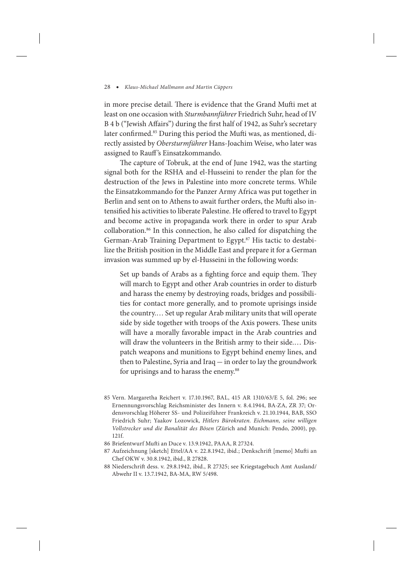in more precise detail. There is evidence that the Grand Mufti met at least on one occasion with *Sturmbannführer* Friedrich Suhr, head of IV B 4 b ("Jewish Affairs") during the first half of 1942, as Suhr's secretary later confirmed.<sup>85</sup> During this period the Mufti was, as mentioned, directly assisted by *Obersturmführer* Hans-Joachim Weise, who later was assigned to Rauff's Einsatzkommando.

The capture of Tobruk, at the end of June 1942, was the starting signal both for the RSHA and el-Husseini to render the plan for the destruction of the Jews in Palestine into more concrete terms. While the Einsatzkommando for the Panzer Army Africa was put together in Berlin and sent on to Athens to await further orders, the Mufti also intensified his activities to liberate Palestine. He offered to travel to Egypt and become active in propaganda work there in order to spur Arab collaboration.86 In this connection, he also called for dispatching the German-Arab Training Department to Egypt.<sup>87</sup> His tactic to destabilize the British position in the Middle East and prepare it for a German invasion was summed up by el-Husseini in the following words:

Set up bands of Arabs as a fighting force and equip them. They will march to Egypt and other Arab countries in order to disturb and harass the enemy by destroying roads, bridges and possibilities for contact more generally, and to promote uprisings inside the country.… Set up regular Arab military units that will operate side by side together with troops of the Axis powers. These units will have a morally favorable impact in the Arab countries and will draw the volunteers in the British army to their side.… Dispatch weapons and munitions to Egypt behind enemy lines, and then to Palestine, Syria and Iraq — in order to lay the groundwork for uprisings and to harass the enemy.<sup>88</sup>

- 85 Vern. Margaretha Reichert v. 17.10.1967, BAL, 415 AR 1310/63/E 5, fol. 296; see Ernennungsvorschlag Reichsminister des Innern v. 8.4.1944, BA-ZA, ZR 37; Ordensvorschlag Höherer SS- und Polizeiführer Frankreich v. 21.10.1944, BAB, SSO Friedrich Suhr; Yaakov Lozowick, *Hitlers Bürokraten. Eichmann, seine willigen Vollstrecker und die Banalität des Bösen* (Zürich and Munich: Pendo, 2000), pp. 121f.
- 86 Briefentwurf Mufti an Duce v. 13.9.1942, PAAA, R 27324.
- 87 Aufzeichnung [sketch] Ettel/AA v. 22.8.1942, ibid.; Denkschrift [memo] Mufti an Chef OKW v. 30.8.1942, ibid., R 27828.
- 88 Niederschrift dess. v. 29.8.1942, ibid., R 27325; see Kriegstagebuch Amt Ausland/ Abwehr II v. 13.7.1942, BA-MA, RW 5/498.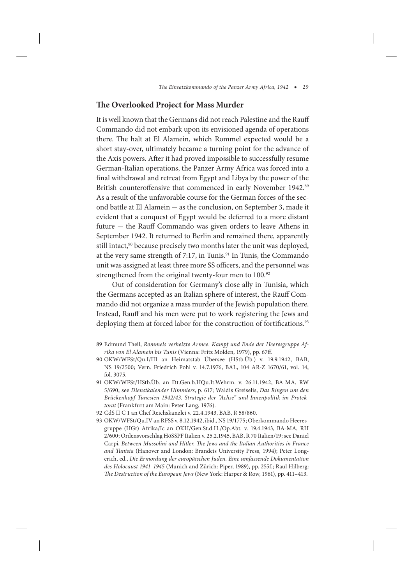## **The Overlooked Project for Mass Murder**

It is well known that the Germans did not reach Palestine and the Rauff Commando did not embark upon its envisioned agenda of operations there. The halt at El Alamein, which Rommel expected would be a short stay-over, ultimately became a turning point for the advance of the Axis powers. After it had proved impossible to successfully resume German-Italian operations, the Panzer Army Africa was forced into a final withdrawal and retreat from Egypt and Libya by the power of the British counteroffensive that commenced in early November 1942.<sup>89</sup> As a result of the unfavorable course for the German forces of the second battle at El Alamein — as the conclusion, on September 3, made it evident that a conquest of Egypt would be deferred to a more distant future — the Rauff Commando was given orders to leave Athens in September 1942. It returned to Berlin and remained there, apparently still intact,<sup>90</sup> because precisely two months later the unit was deployed, at the very same strength of 7:17, in Tunis.<sup>91</sup> In Tunis, the Commando unit was assigned at least three more SS officers, and the personnel was strengthened from the original twenty-four men to 100.<sup>92</sup>

Out of consideration for Germany's close ally in Tunisia, which the Germans accepted as an Italian sphere of interest, the Rauff Commando did not organize a mass murder of the Jewish population there. Instead, Rauff and his men were put to work registering the Jews and deploying them at forced labor for the construction of fortifications.<sup>93</sup>

- 90 OKW/WFSt/Qu.I/III an Heimatstab Übersee (HStb.Üb.) v. 19.9.1942, BAB, NS 19/2500; Vern. Friedrich Pohl v. 14.7.1976, BAL, 104 AR-Z 1670/61, vol. 14, fol. 3075.
- 91 OKW/WFSt/HStb.Üb. an Dt.Gen.b.HQu.It.Wehrm. v. 26.11.1942, BA-MA, RW 5/690; see *Dienstkalender Himmlers*, p. 617; Waldis Greiselis, *Das Ringen um den Brückenkopf Tunesien 1942/43. Strategie der "Achse" und Innenpolitik im Protektorat* (Frankfurt am Main: Peter Lang, 1976).
- 92 CdS II C 1 an Chef Reichskanzlei v. 22.4.1943, BAB, R 58/860.
- 93 OKW/WFSt/Qu.IV an RFSS v. 8.12.1942, ibid., NS 19/1775; Oberkommando Heeresgruppe (HGr) Afrika/Ic an OKH/Gen.St.d.H./Op.Abt. v. 19.4.1943, BA-MA, RH 2/600; Ordensvorschlag HöSSPF Italien v. 25.2.1945, BAB, R 70 Italien/19; see Daniel Carpi, *Between Mussolini and Hitler. The Jews and the Italian Authorities in France and Tunisia* (Hanover and London: Brandeis University Press, 1994); Peter Longerich, ed., *Die Ermordung der europäischen Juden. Eine umfassende Dokumentation des Holocaust 1941–1945* (Munich and Zürich: Piper, 1989), pp. 255f.; Raul Hilberg: *The Destruction of the European Jews* (New York: Harper & Row, 1961), pp. 411–413.

<sup>89</sup> Edmund Theil, *Rommels verheizte Armee. Kampf und Ende der Heeresgruppe Afrika von El Alamein bis Tunis* (Vienna: Fritz Molden, 1979), pp. 67ff.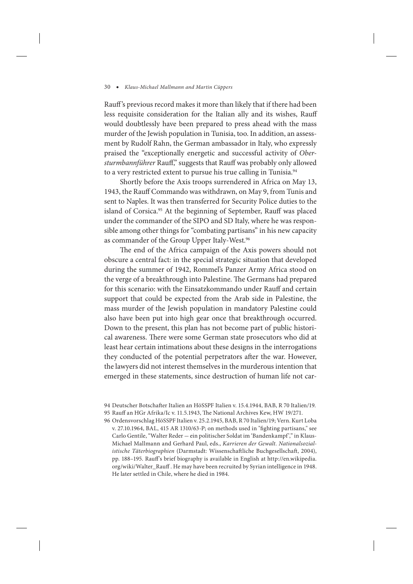Rauff 's previous record makes it more than likely that if there had been less requisite consideration for the Italian ally and its wishes, Rauff would doubtlessly have been prepared to press ahead with the mass murder of the Jewish population in Tunisia, too. In addition, an assessment by Rudolf Rahn, the German ambassador in Italy, who expressly praised the "exceptionally energetic and successful activity of *Obersturmbannführer* Rauff," suggests that Rauff was probably only allowed to a very restricted extent to pursue his true calling in Tunisia.<sup>94</sup>

Shortly before the Axis troops surrendered in Africa on May 13, 1943, the Rauff Commando was withdrawn, on May 9, from Tunis and sent to Naples. It was then transferred for Security Police duties to the island of Corsica.<sup>95</sup> At the beginning of September, Rauff was placed under the commander of the SIPO and SD Italy, where he was responsible among other things for "combating partisans" in his new capacity as commander of the Group Upper Italy-West.<sup>96</sup>

The end of the Africa campaign of the Axis powers should not obscure a central fact: in the special strategic situation that developed during the summer of 1942, Rommel's Panzer Army Africa stood on the verge of a breakthrough into Palestine. The Germans had prepared for this scenario: with the Einsatzkommando under Rauff and certain support that could be expected from the Arab side in Palestine, the mass murder of the Jewish population in mandatory Palestine could also have been put into high gear once that breakthrough occurred. Down to the present, this plan has not become part of public historical awareness. There were some German state prosecutors who did at least hear certain intimations about these designs in the interrogations they conducted of the potential perpetrators after the war. However, the lawyers did not interest themselves in the murderous intention that emerged in these statements, since destruction of human life not car-

<sup>94</sup> Deutscher Botschafter Italien an HöSSPF Italien v. 15.4.1944, BAB, R 70 Italien/19. 95 Rauff an HGr Afrika/Ic v. 11.5.1943, The National Archives Kew, HW 19/271.

<sup>96</sup> Ordensvorschlag HöSSPF Italien v. 25.2.1945, BAB, R 70 Italien/19; Vern. Kurt Loba v. 27.10.1964, BAL, 415 AR 1310/63-P; on methods used in "fighting partisans," see Carlo Gentile, "Walter Reder — ein politischer Soldat im 'Bandenkampf'," in Klaus-Michael Mallmann and Gerhard Paul, eds., *Karrieren der Gewalt. Nationalsozialistische Täterbiographien* (Darmstadt: Wissenschaftliche Buchgesellschaft, 2004), pp. 188–195. Rauff's brief biography is available in English at http://en.wikipedia. org/wiki/Walter\_Rauff . He may have been recruited by Syrian intelligence in 1948. He later settled in Chile, where he died in 1984.